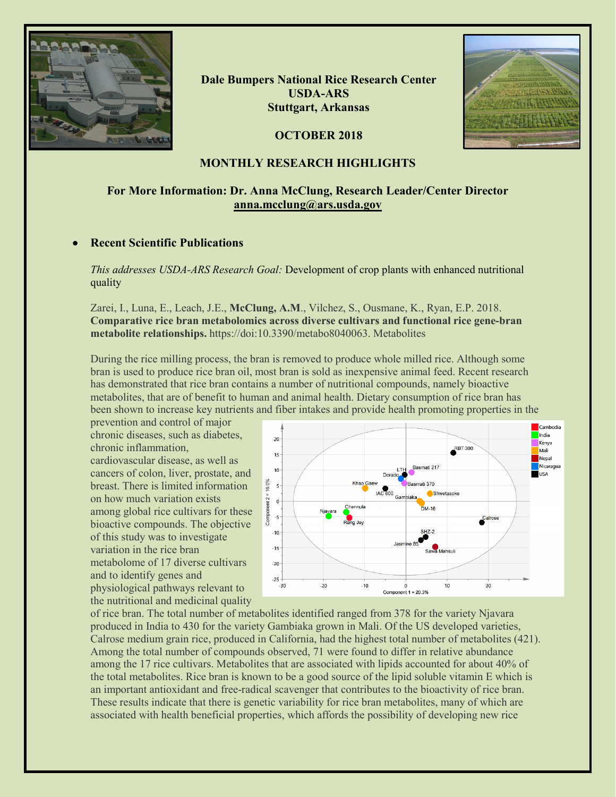

**Dale Bumpers National Rice Research Center USDA-ARS Stuttgart, Arkansas**

**OCTOBER 2018**



## **MONTHLY RESEARCH HIGHLIGHTS**

## **For More Information: Dr. Anna McClung, Research Leader/Center Director [anna.mcclung@ars.usda.gov](mailto:anna.mcclung@ars.usda.gov)**

## • **Recent Scientific Publications**

*This addresses USDA-ARS Research Goal:* Development of crop plants with enhanced nutritional quality

Zarei, I., Luna, E., Leach, J.E., **McClung, A.M**., Vilchez, S., Ousmane, K., Ryan, E.P. 2018. **Comparative rice bran metabolomics across diverse cultivars and functional rice gene-bran metabolite relationships.** https://doi:10.3390/metabo8040063. Metabolites

During the rice milling process, the bran is removed to produce whole milled rice. Although some bran is used to produce rice bran oil, most bran is sold as inexpensive animal feed. Recent research has demonstrated that rice bran contains a number of nutritional compounds, namely bioactive metabolites, that are of benefit to human and animal health. Dietary consumption of rice bran has been shown to increase key nutrients and fiber intakes and provide health promoting properties in the

prevention and control of major chronic diseases, such as diabetes, chronic inflammation,

cardiovascular disease, as well as cancers of colon, liver, prostate, and breast. There is limited information on how much variation exists among global rice cultivars for these bioactive compounds. The objective of this study was to investigate variation in the rice bran metabolome of 17 diverse cultivars and to identify genes and physiological pathways relevant to the nutritional and medicinal quality



of rice bran. The total number of metabolites identified ranged from 378 for the variety Njavara produced in India to 430 for the variety Gambiaka grown in Mali. Of the US developed varieties, Calrose medium grain rice, produced in California, had the highest total number of metabolites (421). Among the total number of compounds observed, 71 were found to differ in relative abundance among the 17 rice cultivars. Metabolites that are associated with lipids accounted for about 40% of the total metabolites. Rice bran is known to be a good source of the lipid soluble vitamin E which is an important antioxidant and free-radical scavenger that contributes to the bioactivity of rice bran. These results indicate that there is genetic variability for rice bran metabolites, many of which are associated with health beneficial properties, which affords the possibility of developing new rice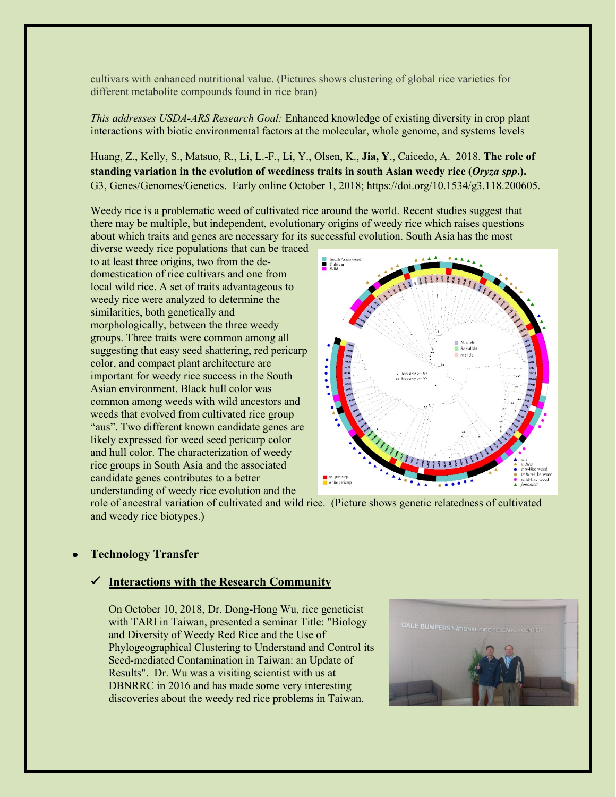cultivars with enhanced nutritional value. (Pictures shows clustering of global rice varieties for different metabolite compounds found in rice bran)

*This addresses USDA-ARS Research Goal:* Enhanced knowledge of existing diversity in crop plant interactions with biotic environmental factors at the molecular, whole genome, and systems levels

Huang, Z., Kelly, S., Matsuo, R., Li, L.-F., Li, Y., Olsen, K., **Jia, Y**., Caicedo, A. 2018. **The role of standing variation in the evolution of weediness traits in south Asian weedy rice (***Oryza spp***.).** G3, Genes/Genomes/Genetics. Early online October 1, 2018; https://doi.org/10.1534/g3.118.200605.

Weedy rice is a problematic weed of cultivated rice around the world. Recent studies suggest that there may be multiple, but independent, evolutionary origins of weedy rice which raises questions about which traits and genes are necessary for its successful evolution. South Asia has the most

diverse weedy rice populations that can be traced to at least three origins, two from the dedomestication of rice cultivars and one from local wild rice. A set of traits advantageous to weedy rice were analyzed to determine the similarities, both genetically and morphologically, between the three weedy groups. Three traits were common among all suggesting that easy seed shattering, red pericarp color, and compact plant architecture are important for weedy rice success in the South Asian environment. Black hull color was common among weeds with wild ancestors and weeds that evolved from cultivated rice group "aus". Two different known candidate genes are likely expressed for weed seed pericarp color and hull color. The characterization of weedy rice groups in South Asia and the associated candidate genes contributes to a better understanding of weedy rice evolution and the



role of ancestral variation of cultivated and wild rice. (Picture shows genetic relatedness of cultivated and weedy rice biotypes.)

#### • **Technology Transfer**

#### **Interactions with the Research Community**

On October 10, 2018, Dr. Dong-Hong Wu, rice geneticist with TARI in Taiwan, presented a seminar Title: "Biology and Diversity of Weedy Red Rice and the Use of Phylogeographical Clustering to Understand and Control its Seed-mediated Contamination in Taiwan: an Update of Results". Dr. Wu was a visiting scientist with us at DBNRRC in 2016 and has made some very interesting discoveries about the weedy red rice problems in Taiwan.

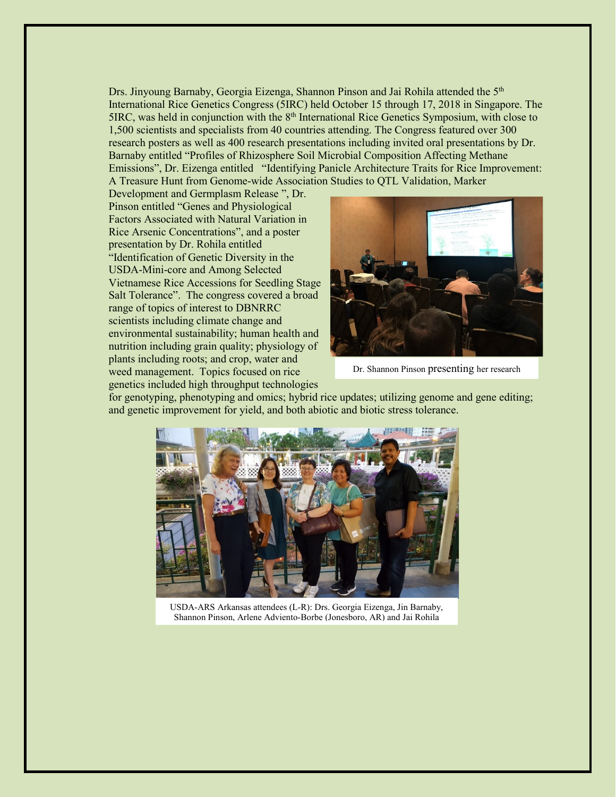Drs. Jinyoung Barnaby, Georgia Eizenga, Shannon Pinson and Jai Rohila attended the 5<sup>th</sup> International Rice Genetics Congress (5IRC) held October 15 through 17, 2018 in Singapore. The 5IRC, was held in conjunction with the 8<sup>th</sup> International Rice Genetics Symposium, with close to 1,500 scientists and specialists from 40 countries attending. The Congress featured over 300 research posters as well as 400 research presentations including invited oral presentations by Dr. Barnaby entitled "Profiles of Rhizosphere Soil Microbial Composition Affecting Methane Emissions", Dr. Eizenga entitled "Identifying Panicle Architecture Traits for Rice Improvement: A Treasure Hunt from Genome-wide Association Studies to QTL Validation, Marker

Development and Germplasm Release ", Dr. Pinson entitled "Genes and Physiological Factors Associated with Natural Variation in Rice Arsenic Concentrations", and a poster presentation by Dr. Rohila entitled "Identification of Genetic Diversity in the USDA-Mini-core and Among Selected Vietnamese Rice Accessions for Seedling Stage Salt Tolerance". The congress covered a broad range of topics of interest to DBNRRC scientists including climate change and environmental sustainability; human health and nutrition including grain quality; physiology of plants including roots; and crop, water and weed management. Topics focused on rice genetics included high throughput technologies



Dr. Shannon Pinson presenting her research

for genotyping, phenotyping and omics; hybrid rice updates; utilizing genome and gene editing; and genetic improvement for yield, and both abiotic and biotic stress tolerance.



USDA-ARS Arkansas attendees (L-R): Drs. Georgia Eizenga, Jin Barnaby, Shannon Pinson, Arlene Adviento-Borbe (Jonesboro, AR) and Jai Rohila